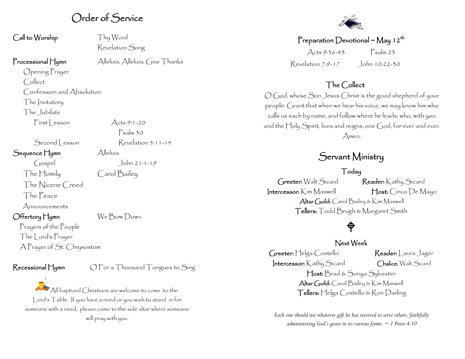## Order of Service

Call to Worship Thy Word

Revelation Song

Psalm 30

Processional Hymn Alleluia, Alleluia, Give Thanks

Opening Prayer Collect Confession and Absolution The Invitatory The Jubilate  $First less on$  Acts 9:1-20

Second Lesson Revelation 5:11-14

Sequence Hymn Alleluía

Gospel John 21:1-19 The Homily Carol Bailey The Nicene Creed The Peace

Announcements

#### Offertory Hymn We Bow Down

Prayers of the People The Lord's Prayer A Prayer of St. Chrysostom

 $\mathsf{Recessional}\,\mathsf{H}$ ymn  $\mathsf{O} \mathsf{For} \,\mathsf{a} \mathsf{Theorem} \,\mathsf{To}$ ngues to  $\mathsf{Sing}$ 

 $\mathbb{P}_{\mathsf{A}}$ ll baptized Christians are welcome to come to the Lord's Table. If you have a need or you wish to stand in for someone with a need, please come to the side altar where someone will pray with you.



## Preparation Devotional ~ May 12<sup>th</sup>

Acts 9:36-43 Psalm 23 Revelation 7:9-17 John 10:22-30

## The Collect

O God, whose Son Jesus Christ is the good shepherd of your people: Grant that when we hear his voice, we may know him who calls us each by name, and follow where he leads; who, with you and the Holy Spirit, lives and reigns, one God, for ever and ever. Amen.

## Servant Ministry

### Today

Greeter: Walt Sicard Reader: Kathy Sicard Intercessor: Kim Maxwell Host: Cinco De Mayo Altar Guild: Carol Bailey & Kim Maxwell Tellers: Todd Brugh & Margaret Smith

# $\bigoplus$

#### Next Week

Greeter: Helga Costello **Reader**: Laura Jager Intercessor: Kathy Sicard Chalice: Walt Sicard Host: Brad & Sonya Sylvester Altar Guild: Carol Bailey & Kim Maxwell Tellers: Helga Costello & Ron Darling

*Each one should use whatever gift he has received to serve others, faithfully administering God's grace in its various forms. ~ 1 Peter 4:10*